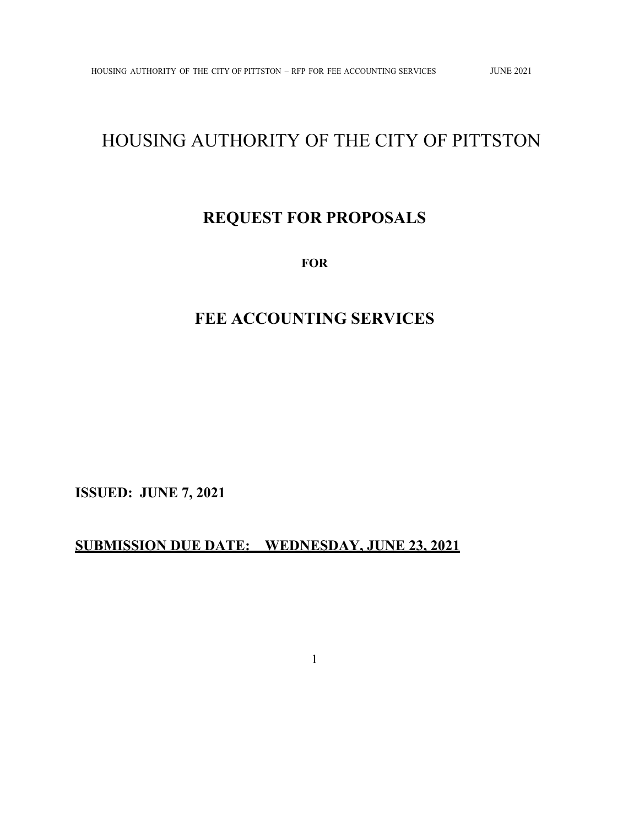# HOUSING AUTHORITY OF THE CITY OF PITTSTON

## **REQUEST FOR PROPOSALS**

**FOR** 

## **FEE ACCOUNTING SERVICES**

**ISSUED: JUNE 7, 2021** 

## **SUBMISSION DUE DATE: WEDNESDAY, JUNE 23, 2021**

1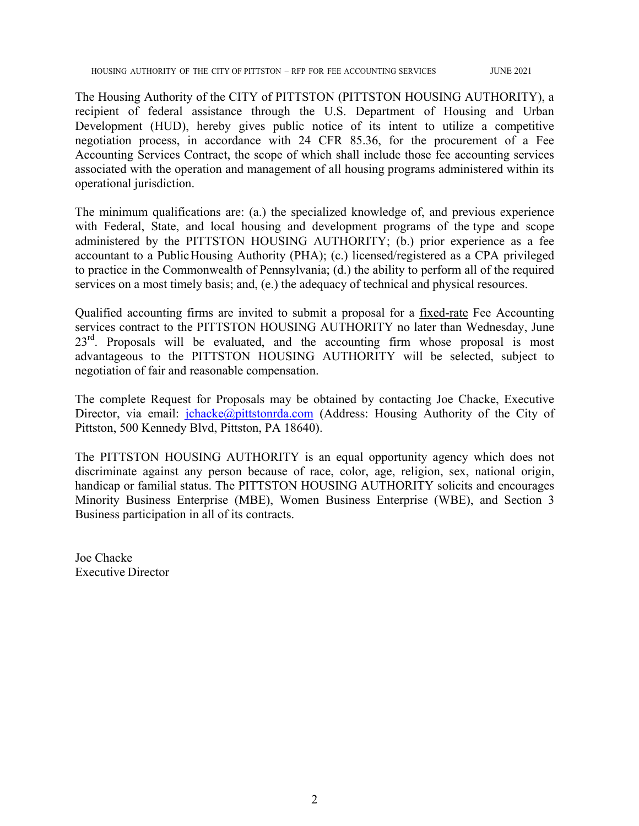HOUSING AUTHORITY OF THE CITY OF PITTSTON – RFP FOR FEE ACCOUNTING SERVICES JUNE 2021

The Housing Authority of the CITY of PITTSTON (PITTSTON HOUSING AUTHORITY), a recipient of federal assistance through the U.S. Department of Housing and Urban Development (HUD), hereby gives public notice of its intent to utilize a competitive negotiation process, in accordance with 24 CFR 85.36, for the procurement of a Fee Accounting Services Contract, the scope of which shall include those fee accounting services associated with the operation and management of all housing programs administered within its operational jurisdiction.

The minimum qualifications are: (a.) the specialized knowledge of, and previous experience with Federal, State, and local housing and development programs of the type and scope administered by the PITTSTON HOUSING AUTHORITY; (b.) prior experience as a fee accountant to a Public Housing Authority (PHA); (c.) licensed/registered as a CPA privileged to practice in the Commonwealth of Pennsylvania; (d.) the ability to perform all of the required services on a most timely basis; and, (e.) the adequacy of technical and physical resources.

Qualified accounting firms are invited to submit a proposal for a fixed-rate Fee Accounting services contract to the PITTSTON HOUSING AUTHORITY no later than Wednesday, June  $23<sup>rd</sup>$ . Proposals will be evaluated, and the accounting firm whose proposal is most advantageous to the PITTSTON HOUSING AUTHORITY will be selected, subject to negotiation of fair and reasonable compensation.

The complete Request for Proposals may be obtained by contacting Joe Chacke, Executive Director, via email: jchacke@pittstonrda.com (Address: Housing Authority of the City of Pittston, 500 Kennedy Blvd, Pittston, PA 18640).

The PITTSTON HOUSING AUTHORITY is an equal opportunity agency which does not discriminate against any person because of race, color, age, religion, sex, national origin, handicap or familial status. The PITTSTON HOUSING AUTHORITY solicits and encourages Minority Business Enterprise (MBE), Women Business Enterprise (WBE), and Section 3 Business participation in all of its contracts.

Joe Chacke Executive Director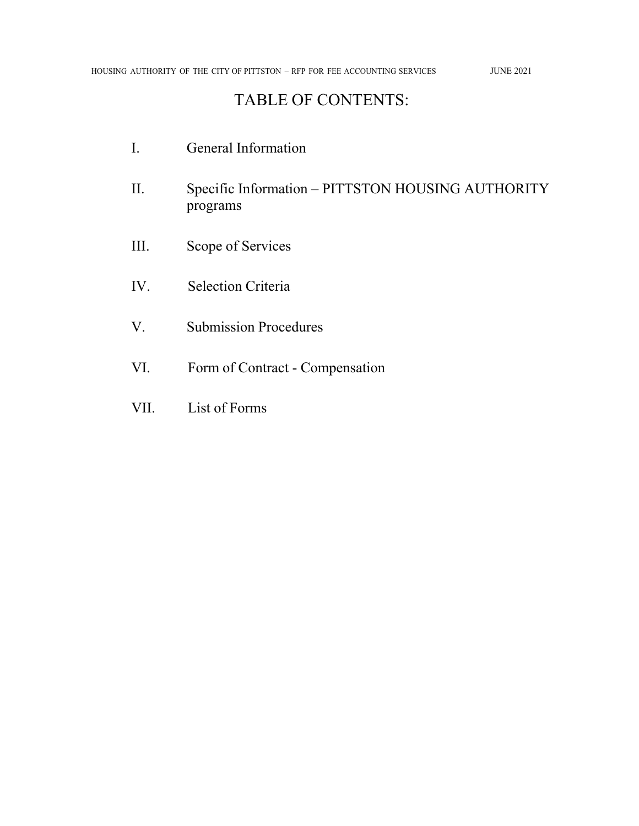## TABLE OF CONTENTS:

- I. General Information II. Specific Information – PITTSTON HOUSING AUTHORITY programs III. Scope of Services IV. Selection Criteria V. Submission Procedures VI. Form of Contract - Compensation
- VII. List of Forms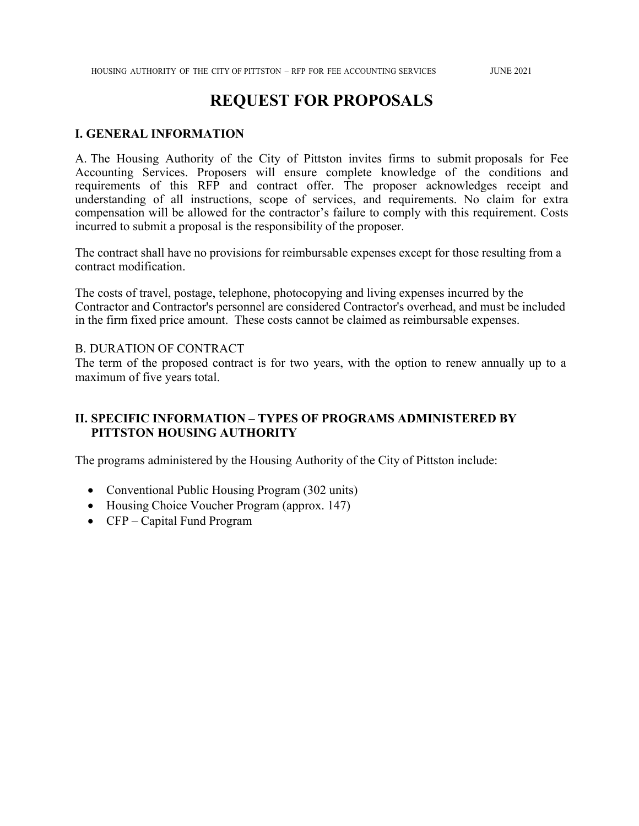## **REQUEST FOR PROPOSALS**

#### **I. GENERAL INFORMATION**

A. The Housing Authority of the City of Pittston invites firms to submit proposals for Fee Accounting Services. Proposers will ensure complete knowledge of the conditions and requirements of this RFP and contract offer. The proposer acknowledges receipt and understanding of all instructions, scope of services, and requirements. No claim for extra compensation will be allowed for the contractor's failure to comply with this requirement. Costs incurred to submit a proposal is the responsibility of the proposer.

The contract shall have no provisions for reimbursable expenses except for those resulting from a contract modification.

The costs of travel, postage, telephone, photocopying and living expenses incurred by the Contractor and Contractor's personnel are considered Contractor's overhead, and must be included in the firm fixed price amount. These costs cannot be claimed as reimbursable expenses.

#### B. DURATION OF CONTRACT

The term of the proposed contract is for two years, with the option to renew annually up to a maximum of five years total.

## **II. SPECIFIC INFORMATION – TYPES OF PROGRAMS ADMINISTERED BY PITTSTON HOUSING AUTHORITY**

The programs administered by the Housing Authority of the City of Pittston include:

- Conventional Public Housing Program (302 units)
- Housing Choice Voucher Program (approx. 147)
- CFP Capital Fund Program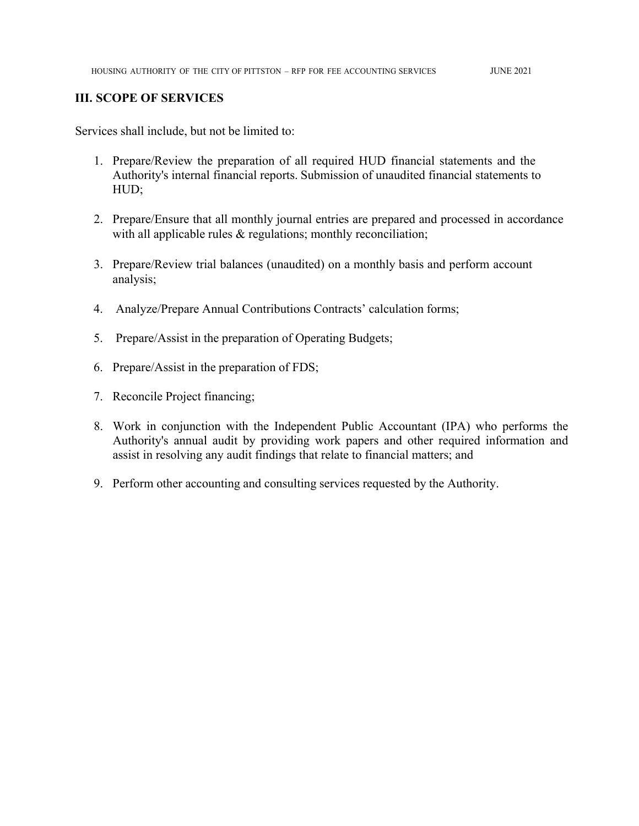### **III. SCOPE OF SERVICES**

Services shall include, but not be limited to:

- 1. Prepare/Review the preparation of all required HUD financial statements and the Authority's internal financial reports. Submission of unaudited financial statements to HUD;
- 2. Prepare/Ensure that all monthly journal entries are prepared and processed in accordance with all applicable rules & regulations; monthly reconciliation;
- 3. Prepare/Review trial balances (unaudited) on a monthly basis and perform account analysis;
- 4. Analyze/Prepare Annual Contributions Contracts' calculation forms;
- 5. Prepare/Assist in the preparation of Operating Budgets;
- 6. Prepare/Assist in the preparation of FDS;
- 7. Reconcile Project financing;
- 8. Work in conjunction with the Independent Public Accountant (IPA) who performs the Authority's annual audit by providing work papers and other required information and assist in resolving any audit findings that relate to financial matters; and
- 9. Perform other accounting and consulting services requested by the Authority.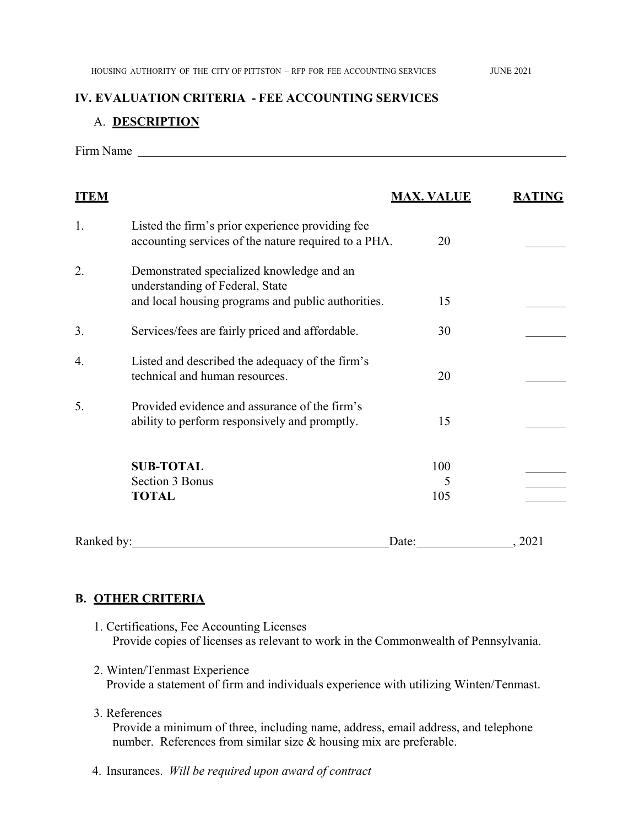#### **IV. EVALUATION CRITERIA - FEE ACCOUNTING SERVICES**

#### A. **DESCRIPTION**

Firm Name

| <b>ITEM</b> |                                                                                                                                    | <b>MAX. VALUE</b> | <b>RATING</b> |
|-------------|------------------------------------------------------------------------------------------------------------------------------------|-------------------|---------------|
| 1.          | Listed the firm's prior experience providing fee<br>accounting services of the nature required to a PHA.                           | 20                |               |
| 2.          | Demonstrated specialized knowledge and an<br>understanding of Federal, State<br>and local housing programs and public authorities. | 15                |               |
| 3.          | Services/fees are fairly priced and affordable.                                                                                    | 30                |               |
| 4.          | Listed and described the adequacy of the firm's<br>technical and human resources.                                                  | 20                |               |
| 5.          | Provided evidence and assurance of the firm's<br>ability to perform responsively and promptly.                                     | 15                |               |
|             | <b>SUB-TOTAL</b><br><b>Section 3 Bonus</b><br><b>TOTAL</b>                                                                         | 100<br>5<br>105   |               |
| Ranked by:  |                                                                                                                                    | Date:             | . 2021        |

## **B. OTHER CRITERIA**

- 1. Certifications, Fee Accounting Licenses Provide copies of licenses as relevant to work in the Commonwealth of Pennsylvania.
- 2. Winten/Tenmast Experience Provide a statement of firm and individuals experience with utilizing Winten/Tenmast.
- 3. References

Provide a minimum of three, including name, address, email address, and telephone number. References from similar size & housing mix are preferable.

4. Insurances. *Will be required upon award of contract*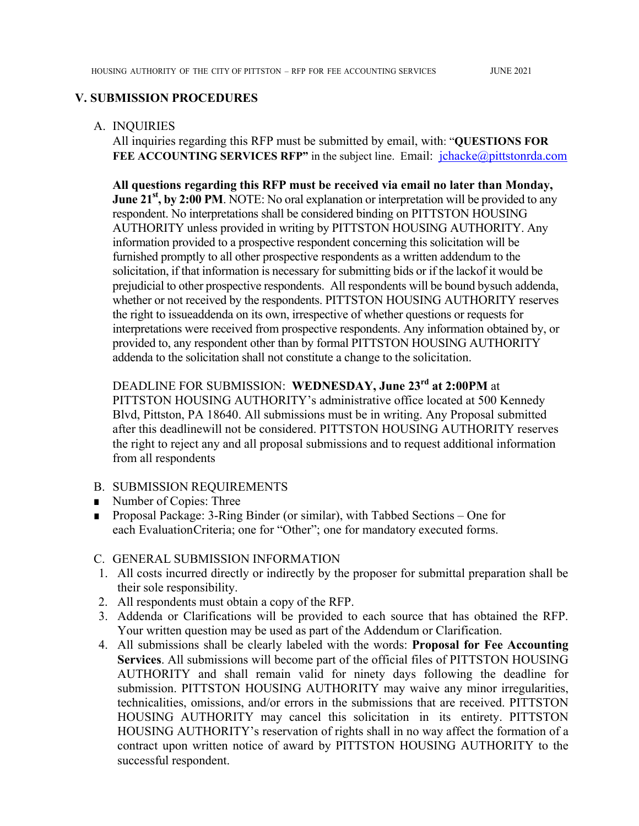#### **V. SUBMISSION PROCEDURES**

#### A. INQUIRIES

All inquiries regarding this RFP must be submitted by email, with: "**QUESTIONS FOR**  FEE ACCOUNTING SERVICES RFP" in the subject line. Email: *jchacke@pittstonrda.com* 

**All questions regarding this RFP must be received via email no later than Monday, June 21<sup>st</sup>, by 2:00 PM**. NOTE: No oral explanation or interpretation will be provided to any respondent. No interpretations shall be considered binding on PITTSTON HOUSING AUTHORITY unless provided in writing by PITTSTON HOUSING AUTHORITY. Any information provided to a prospective respondent concerning this solicitation will be furnished promptly to all other prospective respondents as a written addendum to the solicitation, if that information is necessary for submitting bids or if the lack of it would be prejudicial to other prospective respondents. All respondents will be bound by such addenda, whether or not received by the respondents. PITTSTON HOUSING AUTHORITY reserves the right to issue addenda on its own, irrespective of whether questions or requests for interpretations were received from prospective respondents. Any information obtained by, or provided to, any respondent other than by formal PITTSTON HOUSING AUTHORITY addenda to the solicitation shall not constitute a change to the solicitation.

## DEADLINE FOR SUBMISSION: **WEDNESDAY, June 23rd at 2:00PM** at

PITTSTON HOUSING AUTHORITY's administrative office located at 500 Kennedy Blvd, Pittston, PA 18640. All submissions must be in writing. Any Proposal submitted after this deadline will not be considered. PITTSTON HOUSING AUTHORITY reserves the right to reject any and all proposal submissions and to request additional information from all respondents

#### B. SUBMISSION REQUIREMENTS

- Number of Copies: Three
- Proposal Package: 3-Ring Binder (or similar), with Tabbed Sections One for each Evaluation Criteria; one for "Other"; one for mandatory executed forms.

#### C. GENERAL SUBMISSION INFORMATION

- 1. All costs incurred directly or indirectly by the proposer for submittal preparation shall be their sole responsibility.
- 2. All respondents must obtain a copy of the RFP.
- 3. Addenda or Clarifications will be provided to each source that has obtained the RFP. Your written question may be used as part of the Addendum or Clarification.
- 4. All submissions shall be clearly labeled with the words: **Proposal for Fee Accounting Services**. All submissions will become part of the official files of PITTSTON HOUSING AUTHORITY and shall remain valid for ninety days following the deadline for submission. PITTSTON HOUSING AUTHORITY may waive any minor irregularities, technicalities, omissions, and/or errors in the submissions that are received. PITTSTON HOUSING AUTHORITY may cancel this solicitation in its entirety. PITTSTON HOUSING AUTHORITY's reservation of rights shall in no way affect the formation of a contract upon written notice of award by PITTSTON HOUSING AUTHORITY to the successful respondent.